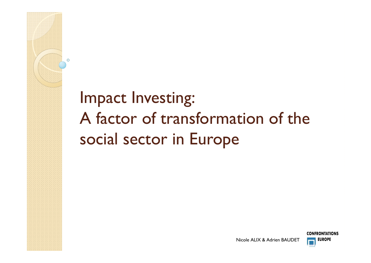### Impact Investing A factor of transformation of the .<br>• social sector in Europe

 $\mathcal{C}$ 





**Nicole ALIX & Adrien** Nicole ALIX & Adrien BAUDET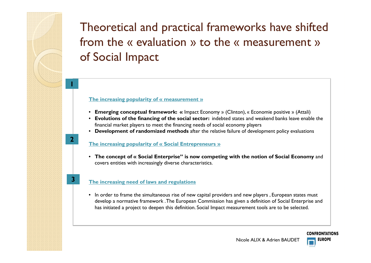## Theoretical and practical frameworks have shifted from the « evaluation » to the « measurement »<br>of Social Impact of Social Impact

### **The increasing popularity of « measurement »**

- **Emerging conceptual framework: «** Impact Economy » (Clinton), « Economie positive » (Attali)
- **Evolutions of the financing of the social sector:** indebted states and weakend banks leave enable the financial market <sup>p</sup>layers to meet the financing needs of social economy <sup>p</sup>layers
- **Development of randomized methods** after the relative failure of development policy evaluations

### **The increasing popularity of « Social Entrepreneurs »**

• **The concept of « Social Enterprise" is now competing with the notion of Social Economy** and covers entities with increasingly diverse characteristics.

### **The increasing need of laws and regulations**

**2**

**3**

• In order to frame the simultaneous rise of new capital providers and new players , European states must develop a normative framework . The European Commission has given a definition of Social Enterprise and has initiated a project to deepen this definition. Social Impact measurement tools are to be selected.

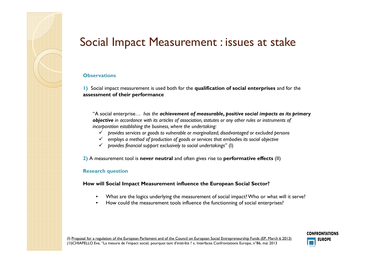### Social Impact Measurement : issues at stake

### **Observations**

**1)** Social impact measurement is used both for the **qualification of social enterprises** and for the **assessment of their performance** 

"A social enterprise… *has the achievement of measurable, positive social impacts as its primary objective in accordance with its articles of association, statutes or any other rules or instruments of incorporation establishing the business, where the undertaking:*

- *provides services or goods to vulnerable or marginalized, disadvantaged or excluded persons*
- *employs a method of production of goods or services that embodies its social objective*
- *provides financial support exclusively to social undertakings*" (I)

**2)** A measurement tool is **never neutral** and often <sup>g</sup>ives rise to **performative effects** (II)

#### **Research question**

**How will Social Impact Measurement influence the European Social Sector?**

- What are the logics underlying the measurement of social impact? Who or what will it serve?
- How could the measurement tools influence the functionning of social enterprises?

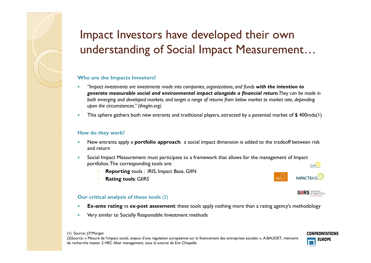### Impact Investors have developed their own understanding of Social Impact Measurement…

#### **Who are the Impacts Investors?**

- O *"Impact investments are investments made into companies, organizations, and funds with the intention to generate measurable social and environmental impact alongside a financial return. They can be made in both emerging and developed markets, and target a range of returns from below market to market rate, depending upon the circumstances." (thegiin.org)*
- 0 This sphere gathers both new entrants and traditional players, attracted by a potential market of \$ 400mds(1)

#### **How do they work?**

- 0 New entrants apply a **portfolio approach**: a social impact dimension is added to the tradeoff between risk and return
- $\bullet$ Social Impact Measurement must participate to a framework that allows for the management of Impact portfolios. The corresponding tools are: portfolios. The corresponding tools are:
	- **Reporting** tools : IRIS, Impact Base, GIIN
	- **Rating tools**: GIIRS

#### **Our critical analysis of these tools** (2)

- 0 **Ex-ante rating** vs **ex-post assesment**: these tools apply nothing more than a rating agency's methodology
- 0 Very similar to Socially Responsible Investment methods





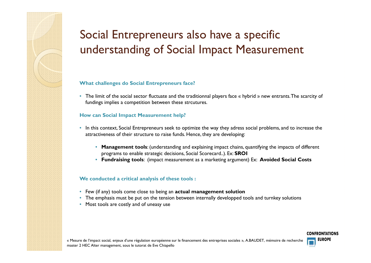### Social Entrepreneurs also have a specific understanding of Social Impact Measurement

### **What challenges do Social Entrepreneurs face?**

• The limit of the social sector fluctuate and the traditionnal players face « hybrid » new entrants.The scarcity of<br>fundings implies a competition between these stroutures fundings implies a competition between these strcutures.

### **How can Social Impact Measurement help?**

- In this context, Social Entrepreneurs seek to optimize the way they adress social problems, and to increase the<br>attractiveness of their structure to raise funds. Hence they are developing: attractiveness of their structure to raise funds. Hence, they are developing:
	- **Management tools**: (understanding and explaining impact chains, quantifying the impacts of different programs to enable strategic decisions, Social Scorecard..). Ex: **SROI**
	- **Fundraising tools**: (impact measurement as a marketing argument) Ex: **Avoided Social Costs**

#### **We conducted a critical analysis of these tools :**

- Few (if any) tools come close to being an **actual management solution**
- The emphasis must be put on the tension between internally developped tools and turnkey solutions
- Most tools are costly and of uneasy use



**CONFRONTATIONS**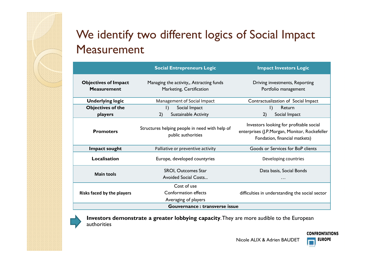## We identify two different logics of Social Impact Measurement

|                                                   | <b>Social Entrepreneurs Logic</b>                                    | <b>Impact Investors Logic</b>                                                                                             |  |
|---------------------------------------------------|----------------------------------------------------------------------|---------------------------------------------------------------------------------------------------------------------------|--|
| <b>Objectives of Impact</b><br><b>Measurement</b> | Managing the activity,, Attracting funds<br>Marketing, Certification | Driving investments, Reporting<br>Portfolio management                                                                    |  |
| <b>Underlying logic</b>                           | Management of Social Impact                                          | Contractualization of Social Impact                                                                                       |  |
| <b>Objectives of the</b>                          | Social Impact<br>$\vert$ )                                           | Return<br>$\vert$ )                                                                                                       |  |
| players                                           | Sustainable Activity<br>2)                                           | 2)<br>Social Impact                                                                                                       |  |
| <b>Promoters</b>                                  | Structures helping people in need with help of<br>public authorities | Investors looking for profitable social<br>enterprises (J.P.Morgan, Monitor, Rockefeller<br>Fondation, financial matkets) |  |
| Impact sought                                     | Palliative or preventive activity                                    | Goods or Services for BoP clients                                                                                         |  |
| <b>Localisation</b>                               | Europe, developed countyries                                         | Developing countries                                                                                                      |  |
| <b>Main tools</b>                                 | SROI, Outcomes Star<br><b>Avoided Social Costs</b>                   | Data basis, Social Bonds<br>.                                                                                             |  |
| Risks faced by the players                        | Cost of use<br><b>Conformation effects</b><br>Averaging of players   | difficulties in understanding the social sector                                                                           |  |
| Gouvernance : transverse issue                    |                                                                      |                                                                                                                           |  |



**Investors demonstrate a greater lobbying capacity**. They are more audible to the European authorities

### **CONFRONTATIONS**

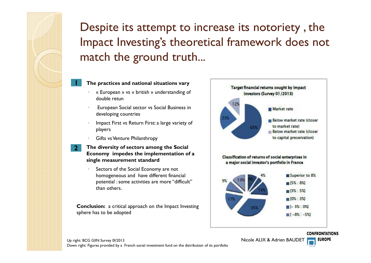### Despite its attempt to increase its notoriety , the Impact Investing's theoretical framework does not match the ground truth...

### **The practices and national situations vary**

- $\circ$  « European » vs « british » understanding of double retun
- ◦ European Social sector vs Social Business in developing countries
- Impact First vs Return First: a large variety of players
- Gifts vs Venture Philanthropy

Γ.

**2**

- **The diversity of sectors among the Social Economy impedes the implementation of a single measurement standard**
	- Sectors of the Social Economy are not homogeneous and have different financial potential : some activities are more "difficult" than others.

**Conclusion:** a critical approac<sup>h</sup> on the Impact Investing sphere has to be adopted



Nicole ALIX & Adrien BAUDET

**EUROPE**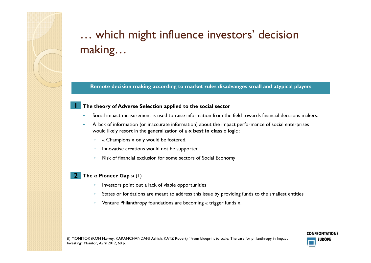## … which might influence investors' decision making…

**Remote decision making according to market rules disadvanges small and atypical <sup>p</sup>layers**

### **The theory of Adverse Selection applied to the social sector**

- 0 Social impact measurement is used to raise information from the field towards financial decisions makers.
- 0 A lack of information (or inaccurate information) about the impact performance of social enterprises would likely resort in the generalization of a **« best in class** » logic :
	- $\circ$ « Champions » only would be fostered.
	- Innovative creations would not be supported.
	- $\circ$  $\,^{\circ}$   $\,$  Risk of financial exclusion for some sectors of Social Economy

#### **The « Pioneer Gap »** (1) **2**

- $\circ$ Investors point out a lack of viable opportunities
- States or fondations are meant to address this issue by providing funds to the smallest entities

**CONFRONTATIONS EUROPE** 

 $\circ$ Venture Philanthropy foundations are becoming « trigger funds ».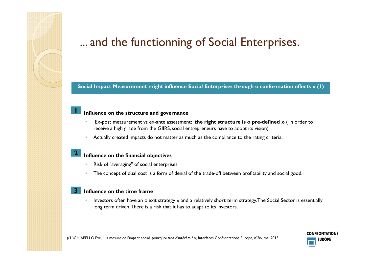### ... and the functionning of Social Enterprises.

**Social Impact Measurement might influence Social Enterprises through « conformation effects » (1)**

### **Influence on the structure and governance**

- $\bullet$  Ex-post measurement vs ex-ante assessment**: the right structure is « pre-defined »** ( in order to receive a high grade from the GIIRS, social entrepreneurs have to adopt its vision)
- $\bullet$ Actually created impacts do not matter as much as the compliance to the rating criteria.

#### **Influence on the financial objectives 2**

- $\bullet$ Risk of "averaging" of social enterprises
- $\circ$ The concept of dual cost is a form of denial of the trade-off between profitability and social good.

#### J. **Influence on the time frame3**

r.

٠

 $\bullet$  Investors often have an « exit strategy » and a relatively short term strategy. The Social Sector is essentially long term driven. There is a risk that it has to adapt to its investors.

**CONFRONTATIONS EUROPE**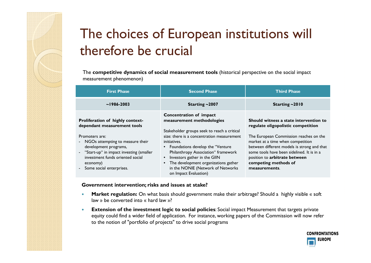# The choices of European institutions will therefore be crucial

The **competitive dynamics of social measurement tools** (historical perspective on the social impact measurement phenomenon)

| <b>First Phase</b>                                                                                                                                                                                                                                                          | <b>Second Phase</b>                                                                                                                                                                                                                                                                                                                                                                                             | <b>Third Phase</b>                                                                                                                                                                                                                                                                                                                 |
|-----------------------------------------------------------------------------------------------------------------------------------------------------------------------------------------------------------------------------------------------------------------------------|-----------------------------------------------------------------------------------------------------------------------------------------------------------------------------------------------------------------------------------------------------------------------------------------------------------------------------------------------------------------------------------------------------------------|------------------------------------------------------------------------------------------------------------------------------------------------------------------------------------------------------------------------------------------------------------------------------------------------------------------------------------|
| $\sim$ 1986-2003                                                                                                                                                                                                                                                            | Starting $\sim$ 2007                                                                                                                                                                                                                                                                                                                                                                                            | Starting $\sim$ 2010                                                                                                                                                                                                                                                                                                               |
| Proliferation of highly context-<br>dependant measurement tools<br>Promoters are:<br>- NGOs attempting to measure their<br>development programs,<br>- "Start-up" in impact investing (smaller<br>investment funds oriented social<br>economy)<br>- Some social enterprises. | Concentration of impact<br>measurement methodologies<br>Stakeholder groups seek to reach a critical<br>size: there is a concentration measurement<br>initiatives.<br>• Foundations develop the "Venture"<br>Philanthropy Association" framework<br>Investors gather in the GIIN<br>$\bullet$<br>The development organizations gather<br>$\bullet$<br>in the NONIE (Network of Networks<br>on Impact Evaluation) | Should witness a state intervention to<br>regulate oligopolistic competition<br>The European Commission reaches on the<br>market at a time when competition<br>between different models is strong and that<br>some tools have been sidelined. It is in a<br>position to arbitrate between<br>competing methods of<br>measurements. |

#### **Government intervention; risks and issues at stake?**

- $\bullet$  **Market regulation:** On what basis should government make their arbitrage? Should a highly visible « soft law » be converted into « hard law »?
- $\bullet$  **Extension of the investment logic to social policies**: Social impact Measurement that targets private equity could find a wider field of application. For instance, working papers of the Commission will now refer to the notion of "portfolio of projects" to drive social programs